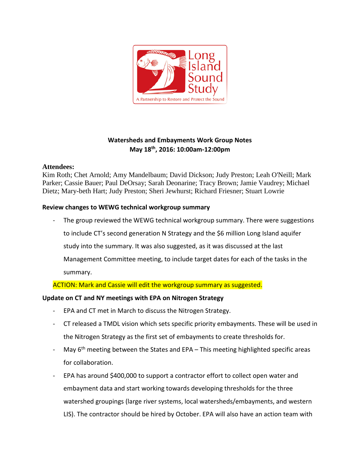

# **Watersheds and Embayments Work Group Notes May 18th, 2016: 10:00am-12:00pm**

# **Attendees:**

Kim Roth; Chet Arnold; Amy Mandelbaum; David Dickson; Judy Preston; Leah O'Neill; Mark Parker; Cassie Bauer; Paul DeOrsay; Sarah Deonarine; Tracy Brown; Jamie Vaudrey; Michael Dietz; Mary-beth Hart; Judy Preston; Sheri Jewhurst; Richard Friesner; Stuart Lowrie

# **Review changes to WEWG technical workgroup summary**

The group reviewed the WEWG technical workgroup summary. There were suggestions to include CT's second generation N Strategy and the \$6 million Long Island aquifer study into the summary. It was also suggested, as it was discussed at the last Management Committee meeting, to include target dates for each of the tasks in the summary.

ACTION: Mark and Cassie will edit the workgroup summary as suggested.

# **Update on CT and NY meetings with EPA on Nitrogen Strategy**

- EPA and CT met in March to discuss the Nitrogen Strategy.
- CT released a TMDL vision which sets specific priority embayments. These will be used in the Nitrogen Strategy as the first set of embayments to create thresholds for.
- May  $6<sup>th</sup>$  meeting between the States and EPA This meeting highlighted specific areas for collaboration.
- EPA has around \$400,000 to support a contractor effort to collect open water and embayment data and start working towards developing thresholds for the three watershed groupings (large river systems, local watersheds/embayments, and western LIS). The contractor should be hired by October. EPA will also have an action team with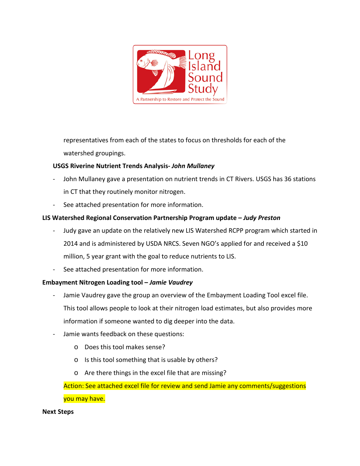

representatives from each of the states to focus on thresholds for each of the watershed groupings.

# **USGS Riverine Nutrient Trends Analysis-** *John Mullaney*

- John Mullaney gave a presentation on nutrient trends in CT Rivers. USGS has 36 stations in CT that they routinely monitor nitrogen.
- See attached presentation for more information.

# **LIS Watershed Regional Conservation Partnership Program update –** *Judy Preston*

- Judy gave an update on the relatively new LIS Watershed RCPP program which started in 2014 and is administered by USDA NRCS. Seven NGO's applied for and received a \$10 million, 5 year grant with the goal to reduce nutrients to LIS.
- See attached presentation for more information.

# **Embayment Nitrogen Loading tool –** *Jamie Vaudrey*

- Jamie Vaudrey gave the group an overview of the Embayment Loading Tool excel file. This tool allows people to look at their nitrogen load estimates, but also provides more information if someone wanted to dig deeper into the data.
- Jamie wants feedback on these questions:
	- o Does this tool makes sense?
	- o Is this tool something that is usable by others?
	- o Are there things in the excel file that are missing?

Action: See attached excel file for review and send Jamie any comments/suggestions you may have.

#### **Next Steps**